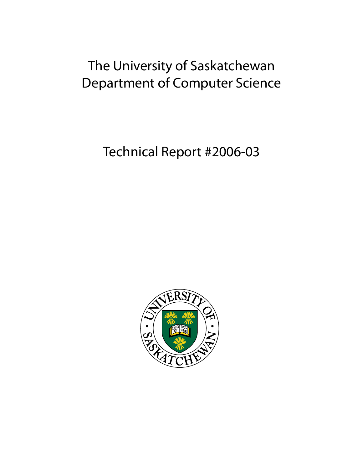# The University of Saskatchewan Department of Computer Science

Technical Report #2006-03

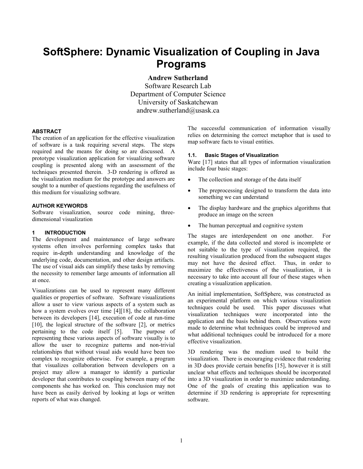# **SoftSphere: Dynamic Visualization of Coupling in Java Programs**

Andrew Sutherland

Software Research Lab Department of Computer Science University of Saskatchewan andrew.sutherland@usask.ca

#### **ABSTRACT**

The creation of an application for the effective visualization of software is a task requiring several steps. The steps required and the means for doing so are discussed. A prototype visualization application for visualizing software coupling is presented along with an assessment of the techniques presented therein. 3-D rendering is offered as the visualization medium for the prototype and answers are sought to a number of questions regarding the usefulness of this medium for visualizing software.

#### **AUTHOR KEYWORDS**

Software visualization, source code mining, threedimensional visualization

# **1 INTRODUCTION**

The development and maintenance of large software systems often involves performing complex tasks that require in-depth understanding and knowledge of the underlying code, documentation, and other design artifacts. The use of visual aids can simplify these tasks by removing the necessity to remember large amounts of information all at once.

Visualizations can be used to represent many different qualities or properties of software. Software visualizations allow a user to view various aspects of a system such as how a system evolves over time [4][18], the collaboration between its developers [14], execution of code at run-time [10], the logical structure of the software [2], or metrics pertaining to the code itself [5]. The purpose of representing these various aspects of software visually is to allow the user to recognize patterns and non-trivial relationships that without visual aids would have been too complex to recognize otherwise. For example, a program that visualizes collaboration between developers on a project may allow a manager to identify a particular developer that contributes to coupling between many of the components she has worked on. This conclusion may not have been as easily derived by looking at logs or written reports of what was changed.

The successful communication of information visually relies on determining the correct metaphor that is used to map software facts to visual entities.

#### **1.1. Basic Stages of Visualization**

Ware [17] states that all types of information visualization include four basic stages:

- The collection and storage of the data itself
- ! The preprocessing designed to transform the data into something we can understand
- The display hardware and the graphics algorithms that produce an image on the screen
- The human perceptual and cognitive system

The stages are interdependent on one another. For example, if the data collected and stored is incomplete or not suitable to the type of visualization required, the resulting visualization produced from the subsequent stages may not have the desired effect. Thus, in order to maximize the effectiveness of the visualization, it is necessary to take into account all four of these stages when creating a visualization application.

An initial implementation, SoftSphere, was constructed as an experimental platform on which various visualization techniques could be used. This paper discusses what visualization techniques were incorporated into the application and the basis behind them. Observations were made to determine what techniques could be improved and what additional techniques could be introduced for a more effective visualization.

3D rendering was the medium used to build the visualization. There is encouraging evidence that rendering in 3D does provide certain benefits [15], however it is still unclear what effects and techniques should be incorporated into a 3D visualization in order to maximize understanding. One of the goals of creating this application was to determine if 3D rendering is appropriate for representing software.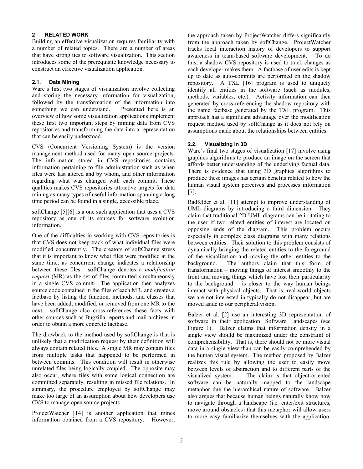#### **2 RELATED WORK**

Building an effective visualization requires familiarity with a number of related topics. There are a number of areas that have strong ties to software visualization. This section introduces some of the prerequisite knowledge necessary to construct an effective visualization application.

# **2.1. Data Mining**

Ware's first two stages of visualization involve collecting and storing the necessary information for visualization, followed by the transformation of the information into something we can understand. Presented here is an overview of how some visualization applications implement these first two important steps by mining data from CVS repositories and transforming the data into a representation that can be easily understood.

CVS (Concurrent Versioning System) is the version management method used for many open source projects. The information stored in CVS repositories contains information pertaining to file administration such as when files were last altered and by whom, and other information regarding what was changed with each commit. These qualities makes CVS repositories attractive targets for data mining as many types of useful information spanning a long time period can be found in a single, accessible place.

softChange [5][6] is a one such application that uses a CVS repository as one of its sources for software evolution information.

One of the difficulties in working with CVS repositories is that CVS does not keep track of what individual files were modified concurrently. The creators of softChange stress that it is important to know what files were modified at the same time, as concurrent change indicates a relationship between these files. softChange denotes a *modification request* (MR) as the set of files committed simultaneously in a single CVS commit. The application then analyzes source code contained in the files of each MR, and creates a factbase by listing the function, methods, and classes that have been added, modified, or removed from one MR to the next. softChange also cross-references these facts with other sources such as Bugzilla reports and mail archives in order to obtain a more concrete factbase.

The drawback to the method used by softChange is that is unlikely that a modification request by their definition will always contain related files. A single MR may contain files from multiple tasks that happened to be performed in between commits. This condition will result in otherwise unrelated files being logically coupled. The opposite may also occur, where files with some logical connection are committed separately, resulting in missed file relations. In summary, the procedure employed by softChange may make too large of an assumption about how developers use CVS to manage open source projects.

ProjectWatcher [14] is another application that mines information obtained from a CVS repository. However,

the approach taken by ProjectWatcher differs significantly from the approach taken by softChange. ProjectWatcher tracks local interaction history of developers to support awareness in team-based software development. To do this, a shadow CVS repository is used to track changes as each developer makes them. A factbase of user edits is kept up to date as auto-commits are performed on the shadow repository. A TXL [16] program is used to uniquely identify all entities in the software (such as modules, methods, variables, etc.). Activity information can then generated by cross-referencing the shadow repository with the name factbase generated by the TXL program. This approach has a significant advantage over the modification request method used by softChange as it does not rely on assumptions made about the relationships between entities.

# **2.2. Visualizing in 3D**

Ware's final two stages of visualization [17] involve using graphics algorithms to produce an image on the screen that affords better understanding of the underlying factual data. There is evidence that using 3D graphics algorithms to produce these images has certain benefits related to how the human visual system perceives and processes information [7].

Radfelder et al. [11] attempt to improve understanding of UML diagrams by introducing a third dimension. They claim that traditional 2D UML diagrams can be irritating to the user if two related entities of interest are located on opposing ends of the diagram. This problem occurs especially in complex class diagrams with many relations between entities. Their solution to this problem consists of dynamically bringing the related entities to the foreground of the visualization and moving the other entities to the background. The authors claim that this form of transformation – moving things of interest smoothly to the front and moving things which have lost their particularity to the background  $-$  is closer to the way human beings interact with physical objects. That is, real-world objects we are not interested in typically do not disappear, but are moved aside to our peripheral vision.

Balzer et al. [2] use an interesting 3D representation of software in their application, Software Landscapes (see Figure 1). Balzer claims that information density in a single view should be maximized under the constraint of comprehensibility. That is, there should not be more visual data in a single view than can be easily comprehended by the human visual system. The method proposed by Balzer realizes this rule by allowing the user to easily move between levels of abstraction and to different parts of the visualized system. The claim is that object-oriented software can be naturally mapped to the landscape metaphor due the hierarchical nature of software. Balzer also argues that because human beings naturally know how to navigate through a landscape (i.e. enter/exit structures, move around obstacles) that this metaphor will allow users to more easy familiarize themselves with the application,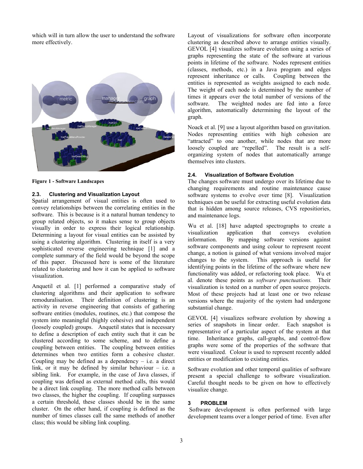which will in turn allow the user to understand the software more effectively.



Figure 1 - Software Landscapes

#### **2.3. Clustering and Visualization Layout**

Spatial arrangement of visual entities is often used to convey relationships between the correlating entities in the software. This is because is it a natural human tendency to group related objects, so it makes sense to group objects visually in order to express their logical relationship. Determining a layout for visual entities can be assisted by using a clustering algorithm. Clustering in itself is a very sophisticated reverse engineering technique [1] and a complete summary of the field would be beyond the scope of this paper. Discussed here is some of the literature related to clustering and how it can be applied to software visualization.

Anquetil et al. [1] performed a comparative study of clustering algorithms and their application to software remoduralisation. Their definition of clustering is an activity in reverse engineering that consists of gathering software entities (modules, routines, etc.) that compose the system into meaningful (highly cohesive) and independent (loosely coupled) groups. Anquetil states that is necessary to define a description of each entity such that it can be clustered according to some scheme, and to define a coupling between entities. The coupling between entities determines when two entities form a cohesive cluster. Coupling may be defined as a dependency  $-$  i.e. a direct link, or it may be defined by similar behaviour – i.e. a sibling link. For example, in the case of Java classes, if coupling was defined as external method calls, this would be a direct link coupling. The more method calls between two classes, the higher the coupling. If coupling surpasses a certain threshold, these classes should be in the same cluster. On the other hand, if coupling is defined as the number of times classes call the same methods of another class; this would be sibling link coupling.

Layout of visualizations for software often incorporate clustering as described above to arrange entities visually. GEVOL [4] visualizes software evolution using a series of graphs representing the state of the software at various points in lifetime of the software. Nodes represent entities (classes, methods, etc.) in a Java program and edges represent inheritance or calls. Coupling between the entities is represented as weights assigned to each node. The weight of each node is determined by the number of times it appears over the total number of versions of the software. The weighted nodes are fed into a force algorithm, automatically determining the layout of the graph.

Noack et al. [9] use a layout algorithm based on gravitation. Nodes representing entities with high cohesion are "attracted" to one another, while nodes that are more loosely coupled are "repelled". The result is a selforganizing system of nodes that automatically arrange themselves into clusters.

#### **2.4. Visualization of Software Evolution**

The changes software must undergo over its lifetime due to changing requirements and routine maintenance cause software systems to evolve over time [8]. Visualization techniques can be useful for extracting useful evolution data that is hidden among source releases, CVS repositiories, and maintenance logs.

Wu et al. [18] have adapted spectrographs to create a visualization application that conveys evolution information. By mapping software versions against software components and using colour to represent recent change, a notion is gained of what versions involved major changes to the system. This approach is useful for identifying points in the lifetime of the software where new functionality was added, or refactoring took place. Wu et al. denote these points as *software punctuations.* Their visualization is tested on a number of open source projects. Most of these projects had at least one or two release versions where the majority of the system had undergone substantial change.

GEVOL [4] visualizes software evolution by showing a series of snapshots in linear order. Each snapshot is representative of a particular aspect of the system at that time. Inheritance graphs, call-graphs, and control-flow graphs were some of the properties of the software that were visualized. Colour is used to represent recently added entities or modification to existing entities.

Software evolution and other temporal qualities of software present a special challenge to software visualization. Careful thought needs to be given on how to effectively visualize change.

#### **3 PROBLEM**

 Software development is often performed with large development teams over a longer period of time. Even after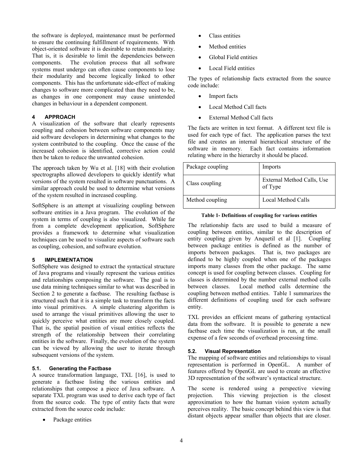the software is deployed, maintenance must be performed to ensure the continuing fulfillment of requirements. With object-oriented software it is desirable to retain modularity. That is, it is desirable to limit the dependencies between components. The evolution process that all software systems must undergo can often cause components to lose their modularity and become logically linked to other components. This has the unfortunate side-effect of making changes to software more complicated than they need to be, as changes in one component may cause unintended changes in behaviour in a dependent component.

# **4 APPROACH**

A visualization of the software that clearly represents coupling and cohesion between software components may aid software developers in determining what changes to the system contributed to the coupling. Once the cause of the increased cohesion is identified, corrective action could then be taken to reduce the unwanted cohesion.

The approach taken by Wu et al. [18] with their evolution spectrographs allowed developers to quickly identify what versions of the system resulted in software punctuations. A similar approach could be used to determine what versions of the system resulted in increased coupling.

SoftSphere is an attempt at visualizing coupling between software entities in a Java program. The evolution of the system in terms of coupling is also visualized. While far from a complete development application, SoftSphere provides a framework to determine what visualization techniques can be used to visualize aspects of software such as coupling, cohesion, and software evolution.

#### **5 IMPLEMENTATION**

SoftSphere was designed to extract the syntactical structure of Java programs and visually represent the various entities and relationships composing the software. The goal is to use data mining techniques similar to what was described in Section 2 to generate a factbase. The resulting factbase is structured such that it is a simple task to transform the facts into visual primitives. A simple clustering algorithm is used to arrange the visual primitives allowing the user to quickly perceive what entities are more closely coupled. That is, the spatial position of visual entities reflects the strength of the relationship between their correlating entities in the software. Finally, the evolution of the system can be viewed by allowing the user to iterate through subsequent versions of the system.

## **5.1. Generating the Factbase**

A source transformation language, TXL [16], is used to generate a factbase listing the various entities and relationships that compose a piece of Java software. A separate TXL program was used to derive each type of fact from the source code. The type of entity facts that were extracted from the source code include:

Package entities

- **Class entities**
- **Method entities**
- Global Field entities
- Local Field entities

The types of relationship facts extracted from the source code include:

- Import facts
- Local Method Call facts
- External Method Call facts

The facts are written in text format. A different text file is used for each type of fact. The application parses the text file and creates an internal hierarchical structure of the software in memory. Each fact contains information relating where in the hierarchy it should be placed.

| Package coupling | Imports                               |
|------------------|---------------------------------------|
| Class coupling   | External Method Calls, Use<br>of Type |
| Method coupling  | Local Method Calls                    |

The relationship facts are used to build a measure of coupling between entities, similar to the description of entity coupling given by Anquetil et al [1]. Coupling between package entities is defined as the number of imports between packages. That is, two packages are defined to be highly coupled when one of the packages imports many classes from the other package. The same concept is used for coupling between classes. Coupling for classes is determined by the number external method calls between classes. Local method calls determine the coupling between method entities. Table 1 summarizes the different definitions of coupling used for each software entity.

TXL provides an efficient means of gathering syntactical data from the software. It is possible to generate a new factbase each time the visualization is run, at the small expense of a few seconds of overhead processing time.

# **5.2. Visual Representation**

The mapping of software entities and relationships to visual representation is performed in OpenGL. A number of features offered by OpenGL are used to create an effective 3D representation of the software's syntactical structure.

The scene is rendered using a perspective viewing projection. This viewing projection is the closest approximation to how the human vision system actually perceives reality. The basic concept behind this view is that distant objects appear smaller than objects that are closer.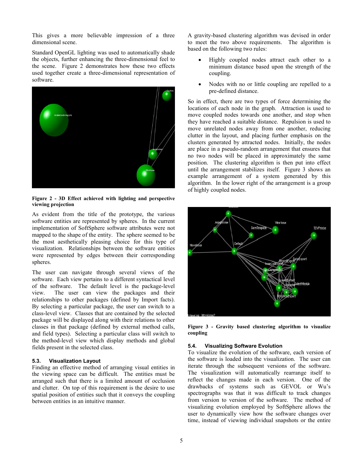This gives a more believable impression of a three dimensional scene.

Standard OpenGL lighting was used to automatically shade the objects, further enhancing the three-dimensional feel to the scene. Figure 2 demonstrates how these two effects used together create a three-dimensional representation of software.



Figure 2 - 3D Effect achieved with lighting and perspective viewing projection

As evident from the title of the prototype, the various software entities are represented by spheres. In the current implementation of SoftSphere software attributes were not mapped to the shape of the entity. The sphere seemed to be the most aesthetically pleasing choice for this type of visualization. Relationships between the software entities were represented by edges between their corresponding spheres.

The user can navigate through several views of the software. Each view pertains to a different syntactical level of the software. The default level is the package-level view. The user can view the packages and their relationships to other packages (defined by Import facts). By selecting a particular package, the user can switch to a class-level view. Classes that are contained by the selected package will be displayed along with their relations to other classes in that package (defined by external method calls, and field types). Selecting a particular class will switch to the method-level view which display methods and global fields present in the selected class.

# **5.3. Visualization Layout**

Finding an effective method of arranging visual entities in the viewing space can be difficult. The entities must be arranged such that there is a limited amount of occlusion and clutter. On top of this requirement is the desire to use spatial position of entities such that it conveys the coupling between entities in an intuitive manner.

A gravity-based clustering algorithm was devised in order to meet the two above requirements. The algorithm is based on the following two rules:

- ! Highly coupled nodes attract each other to a minimum distance based upon the strength of the coupling.
- Nodes with no or little coupling are repelled to a pre-defined distance.

So in effect, there are two types of force determining the locations of each node in the graph. Attraction is used to move coupled nodes towards one another, and stop when they have reached a suitable distance. Repulsion is used to move unrelated nodes away from one another, reducing clutter in the layout, and placing further emphasis on the clusters generated by attracted nodes. Initially, the nodes are place in a pseudo-random arrangement that ensures that no two nodes will be placed in approximately the same position. The clustering algorithm is then put into effect until the arrangement stabilizes itself. Figure 3 shows an example arrangement of a system generated by this algorithm. In the lower right of the arrangement is a group of highly coupled nodes.



Figure 3 - Gravity based clustering algorithm to visualize coupling

## **5.4. Visualizing Software Evolution**

To visualize the evolution of the software, each version of the software is loaded into the visualization. The user can iterate through the subsequent versions of the software. The visualization will automatically rearrange itself to reflect the changes made in each version. One of the drawbacks of systems such as GEVOL or Wu's spectrographs was that it was difficult to track changes from version to version of the software. The method of visualizing evolution employed by SoftSphere allows the user to dynamically view how the software changes over time, instead of viewing individual snapshots or the entire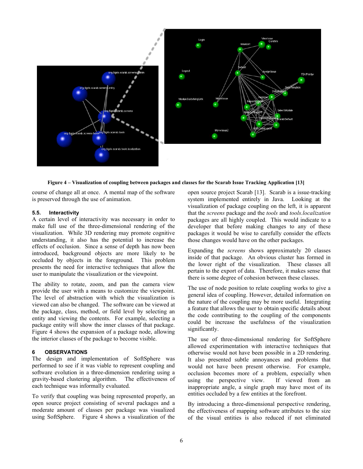

#### Figure 4 – Visualization of coupling between packages and classes for the Scarab Issue Tracking Application [13]

course of change all at once. A mental map of the software is preserved through the use of animation.

#### **5.5. Interactivity**

A certain level of interactivity was necessary in order to make full use of the three-dimensional rendering of the visualization. While 3D rendering may promote cognitive understanding, it also has the potential to increase the effects of occlusion. Since a sense of depth has now been introduced, background objects are more likely to be occluded by objects in the foreground. This problem presents the need for interactive techniques that allow the user to manipulate the visualization or the viewpoint.

The ability to rotate, zoom, and pan the camera view provide the user with a means to customize the viewpoint. The level of abstraction with which the visualization is viewed can also be changed. The software can be viewed at the package, class, method, or field level by selecting an entity and viewing the contents. For example, selecting a package entity will show the inner classes of that package. Figure 4 shows the expansion of a package node, allowing the interior classes of the package to become visible.

## **6 OBSERVATIONS**

The design and implementation of SoftSphere was performed to see if it was viable to represent coupling and software evolution in a three-dimension rendering using a gravity-based clustering algorithm. The effectiveness of each technique was informally evaluated.

To verify that coupling was being represented properly, an open source project consisting of several packages and a moderate amount of classes per package was visualized using SoftSphere. Figure 4 shows a visualization of the

open source project Scarab [13]. Scarab is a issue-tracking system implemented entirely in Java. Looking at the visualization of package coupling on the left, it is apparent that the *screens* package and the *tools* and *tools.localization* packages are all highly coupled. This would indicate to a developer that before making changes to any of these packages it would be wise to carefully consider the effects those changes would have on the other packages.

Expanding the *screens* shows approximately 20 classes inside of that package. An obvious cluster has formed in the lower right of the visualization. These classes all pertain to the export of data. Therefore, it makes sense that there is some degree of cohesion between these classes.

The use of node position to relate coupling works to give a general idea of coupling. However, detailed information on the nature of the coupling may be more useful. Integrating a feature that allows the user to obtain specific details about the code contributing to the coupling of the components could be increase the usefulness of the visualization significantly.

The use of three-dimensional rendering for SoftSphere allowed experimentation with interactive techniques that otherwise would not have been possible in a 2D rendering. It also presented subtle annoyances and problems that would not have been present otherwise. For example, occlusion becomes more of a problem, especially when using the perspective view. If viewed from an inappropriate angle, a single graph may have most of its entities occluded by a few entities at the forefront.

By introducing a three-dimensional perspective rendering, the effectiveness of mapping software attributes to the size of the visual entities is also reduced if not eliminated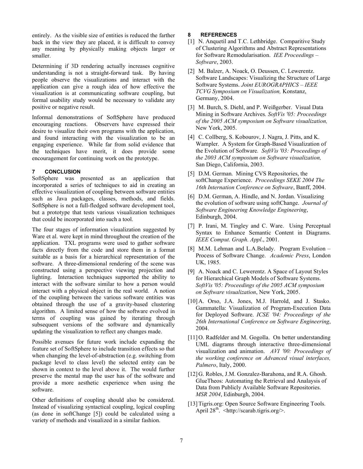entirely. As the visible size of entities is reduced the farther back in the view they are placed, it is difficult to convey any meaning by physically making objects larger or smaller.

Determining if 3D rendering actually increases cognitive understanding is not a straight-forward task. By having people observe the visualizations and interact with the application can give a rough idea of how effective the visualization is at communicating software coupling, but formal usability study would be necessary to validate any positive or negative result.

Informal demonstrations of SoftSphere have produced encouraging reactions. Observers have expressed their desire to visualize their own programs with the application, and found interacting with the visualization to be an engaging experience. While far from solid evidence that the techniques have merit, it does provide some encouragement for continuing work on the prototype.

# **7 CONCLUSION**

SoftSphere was presented as an application that incorporated a series of techniques to aid in creating an effective visualization of coupling between software entities such as Java packages, classes, methods, and fields. SoftSphere is not a full-fledged software development tool, but a prototype that tests various visualization techniques that could be incorporated into such a tool.

The four stages of information visualization suggested by Ware et al. were kept in mind throughout the creation of the application. TXL programs were used to gather software facts directly from the code and store them in a format suitable as a basis for a hierarchical representation of the software. A three-dimensional rendering of the scene was constructed using a perspective viewing projection and lighting. Interaction techniques supported the ability to interact with the software similar to how a person would interact with a physical object in the real world. A notion of the coupling between the various software entities was obtained through the use of a gravity-based clustering algorithm. A limited sense of how the software evolved in terms of coupling was gained by iterating through subsequent versions of the software and dynamically updating the visualization to reflect any changes made.

Possible avenues for future work include expanding the feature set of SoftSphere to include transition effects so that when changing the level-of-abstraction (e.g. switching from package level to class level) the selected entity can be shown in context to the level above it. The would further preserve the mental map the user has of the software and provide a more aesthetic experience when using the software.

Other definitions of coupling should also be considered. Instead of visualizing syntactical coupling, logical coupling (as done in softChange [5]) could be calculated using a variety of methods and visualized in a similar fashion.

# **8 REFERENCES**

- [1] N. Anquetil and T.C. Lethbridge. Comparitive Study of Clustering Algorithms and Abstract Representations for Software Remodularisation. *IEE Proceedings – Software*, 2003.
- [2] M. Balzer, A. Noack, O. Deussen, C. Lewerentz. Software Landscapes: Visualizing the Structure of Large Software Systems. *Joint EUROGRAPHICS – IEEE TCVG Symposium on Visualization,* Konstanz, Germany, 2004.
- [3] M. Burch, S. Diehl, and P. Weißgerber. Visual Data Mining in Software Archives*. SoftVis '05: Proceedings of the 2005 ACM symposium on Software visualization,*  New York, 2005.
- [4] C. Collberg, S. Kobourov, J. Nagra, J. Pitts, and K. Wampler. A System for Graph-Based Visualization of the Evolution of Software*. SoftVis '03: Proceedings of the 2003 ACM symposium on Software visualization,* San Diego, California, 2003.
- [5] D.M. German. Mining CVS Repositories, the softChange Experience. *Proceedings SEKE 2004 The 16th Internation Conference on Software*, Banff, 2004.
- [6] D.M. German, A. Hindle, and N. Jordan. Visualizing the evolution of software using softChange. *Journal of Software Engineering Knowledge Engineering*, Edinburgh, 2004.
- [7] P. Irani, M. Tingley and C. Ware. Using Perceptual Syntax to Enhance Semantic Content in Diagrams. *IEEE Comput. Graph. Appl*., 2001.
- [8] M.M. Lehman and L.A.Belady. Program Evolution Process of Software Change. *Academic Press*, London UK, 1985.
- [9] A. Noack and C. Lewerentz. A Space of Layout Styles for Hierarchical Graph Models of Software Systems. *SoftVis '05: Proceedings of the 2005 ACM symposium on Software visualization*, New York, 2005.
- [10] A. Orso, J.A. Jones, M.J. Harrold, and J. Stasko. Gammatella: Visualization of Program-Execution Data for Deployed Software. *ICSE '04: Proceedings of the 26th International Conference on Software Engineering*, 2004.
- [11]O. Radfelder and M. Gogolla. On better understanding UML diagrams through interactive three-dimensional visualization and animation. *AVI '00: Proceedings of the working conference on Advanced visual interfaces, Palmero*, Italy, 2000.
- [12] G. Robles, J.M. Gonzalez-Barahona, and R.A. Ghosh. GlueTheos: Automating the Retrieval and Analaysis of Data from Publicly Available Software Repositories. *MSR 2004*, Edinburgh, 2004.
- [13] Tigris.org: Open Source Software Engineering Tools. April  $28^{th}$ . <http://scarab.tigris.org/>.